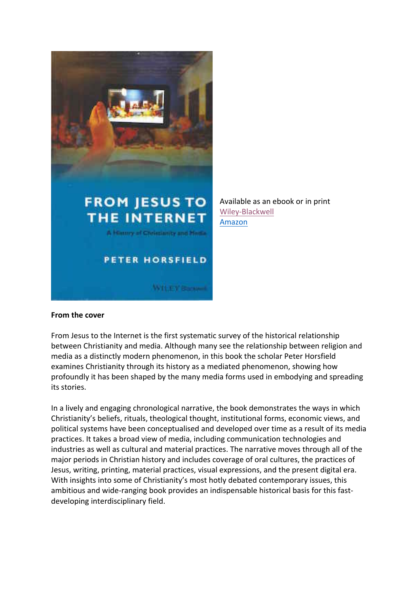

Available as an ebook or in print Wiley-Blackwell Amazon

## **From the cover**

From Jesus to the Internet is the first systematic survey of the historical relationship between Christianity and media. Although many see the relationship between religion and media as a distinctly modern phenomenon, in this book the scholar Peter Horsfield examines Christianity through its history as a mediated phenomenon, showing how profoundly it has been shaped by the many media forms used in embodying and spreading its stories.

In a lively and engaging chronological narrative, the book demonstrates the ways in which Christianity's beliefs, rituals, theological thought, institutional forms, economic views, and political systems have been conceptualised and developed over time as a result of its media practices. It takes a broad view of media, including communication technologies and industries as well as cultural and material practices. The narrative moves through all of the major periods in Christian history and includes coverage of oral cultures, the practices of Jesus, writing, printing, material practices, visual expressions, and the present digital era. With insights into some of Christianity's most hotly debated contemporary issues, this ambitious and wide-ranging book provides an indispensable historical basis for this fastdeveloping interdisciplinary field.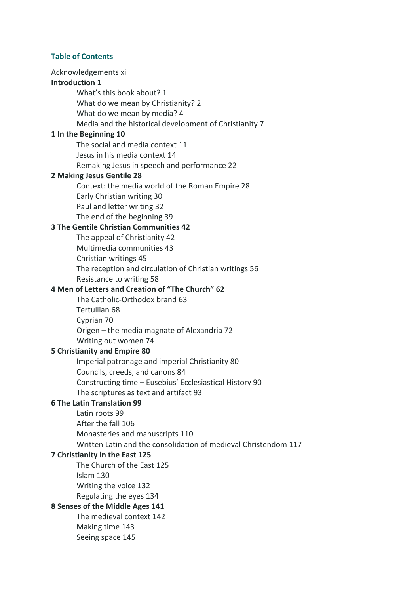## **Table of Contents**

Acknowledgements xi **Introduction 1** What's this book about? 1 What do we mean by Christianity? 2 What do we mean by media? 4 Media and the historical development of Christianity 7 **1** In the Beginning 10 The social and media context 11 Jesus in his media context 14 Remaking Jesus in speech and performance 22 **2 Making Jesus Gentile 28** Context: the media world of the Roman Empire 28 Early Christian writing 30 Paul and letter writing 32 The end of the beginning 39 **3 The Gentile Christian Communities 42** The appeal of Christianity 42 Multimedia communities 43 Christian writings 45 The reception and circulation of Christian writings 56 Resistance to writing 58 **4 Men of Letters and Creation of "The Church" 62** The Catholic-Orthodox brand 63 Tertullian 68 Cyprian 70 Origen – the media magnate of Alexandria 72 Writing out women 74 **5 Christianity and Empire 80** Imperial patronage and imperial Christianity 80 Councils, creeds, and canons 84 Constructing time - Eusebius' Ecclesiastical History 90 The scriptures as text and artifact 93 **6 The Latin Translation 99** Latin roots 99 After the fall 106 Monasteries and manuscripts 110 Written Latin and the consolidation of medieval Christendom 117 **7 Christianity in the East 125** The Church of the East 125 Islam 130 Writing the voice 132 Regulating the eyes 134 **8 Senses of the Middle Ages 141** The medieval context 142 Making time 143 Seeing space 145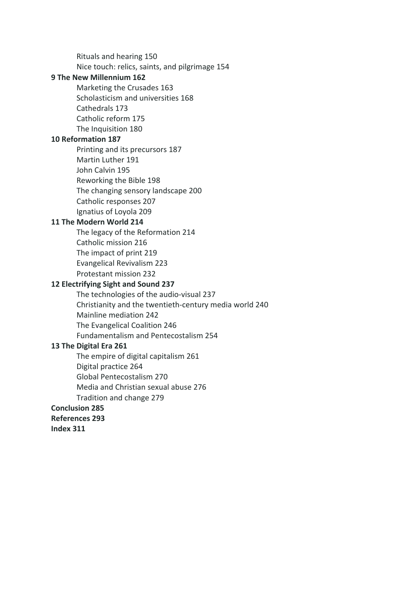Rituals and hearing 150 Nice touch: relics, saints, and pilgrimage 154 **9 The New Millennium 162** Marketing the Crusades 163 Scholasticism and universities 168 Cathedrals 173 Catholic reform 175 The Inquisition 180 **10 Reformation 187** Printing and its precursors 187 Martin Luther 191 John Calvin 195 Reworking the Bible 198 The changing sensory landscape 200 Catholic responses 207 Ignatius of Loyola 209 **11 The Modern World 214** The legacy of the Reformation 214 Catholic mission 216 The impact of print 219 Evangelical Revivalism 223 Protestant mission 232 **12 Electrifying Sight and Sound 237** The technologies of the audio-visual 237 Christianity and the twentieth-century media world 240 Mainline mediation 242 The Evangelical Coalition 246 Fundamentalism and Pentecostalism 254 **13 The Digital Era 261** The empire of digital capitalism 261 Digital practice 264 Global Pentecostalism 270 Media and Christian sexual abuse 276 Tradition and change 279 **Conclusion 285 References 293 Index 311**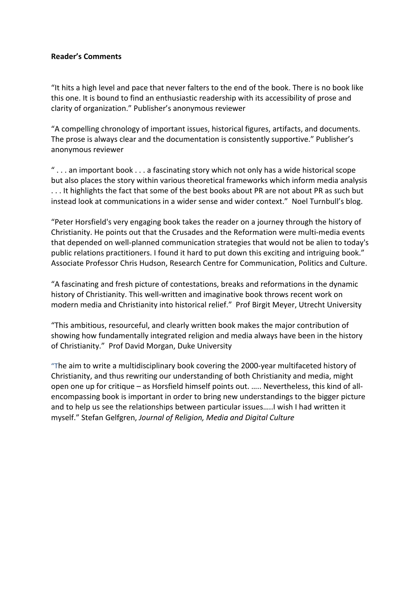## **Reader's Comments**

"It hits a high level and pace that never falters to the end of the book. There is no book like this one. It is bound to find an enthusiastic readership with its accessibility of prose and clarity of organization." Publisher's anonymous reviewer

"A compelling chronology of important issues, historical figures, artifacts, and documents. The prose is always clear and the documentation is consistently supportive." Publisher's anonymous reviewer

" $\ldots$  an important book  $\ldots$  a fascinating story which not only has a wide historical scope but also places the story within various theoretical frameworks which inform media analysis ... It highlights the fact that some of the best books about PR are not about PR as such but instead look at communications in a wider sense and wider context." Noel Turnbull's blog.

"Peter Horsfield's very engaging book takes the reader on a journey through the history of Christianity. He points out that the Crusades and the Reformation were multi-media events that depended on well-planned communication strategies that would not be alien to today's public relations practitioners. I found it hard to put down this exciting and intriguing book." Associate Professor Chris Hudson, Research Centre for Communication, Politics and Culture.

"A fascinating and fresh picture of contestations, breaks and reformations in the dynamic history of Christianity. This well-written and imaginative book throws recent work on modern media and Christianity into historical relief." Prof Birgit Meyer, Utrecht University

"This ambitious, resourceful, and clearly written book makes the major contribution of showing how fundamentally integrated religion and media always have been in the history of Christianity." Prof David Morgan, Duke University

"The aim to write a multidisciplinary book covering the 2000-year multifaceted history of Christianity, and thus rewriting our understanding of both Christianity and media, might open one up for critique – as Horsfield himself points out. ..... Nevertheless, this kind of allencompassing book is important in order to bring new understandings to the bigger picture and to help us see the relationships between particular issues.....I wish I had written it myself." Stefan Gelfgren, *Journal of Religion, Media and Digital Culture*